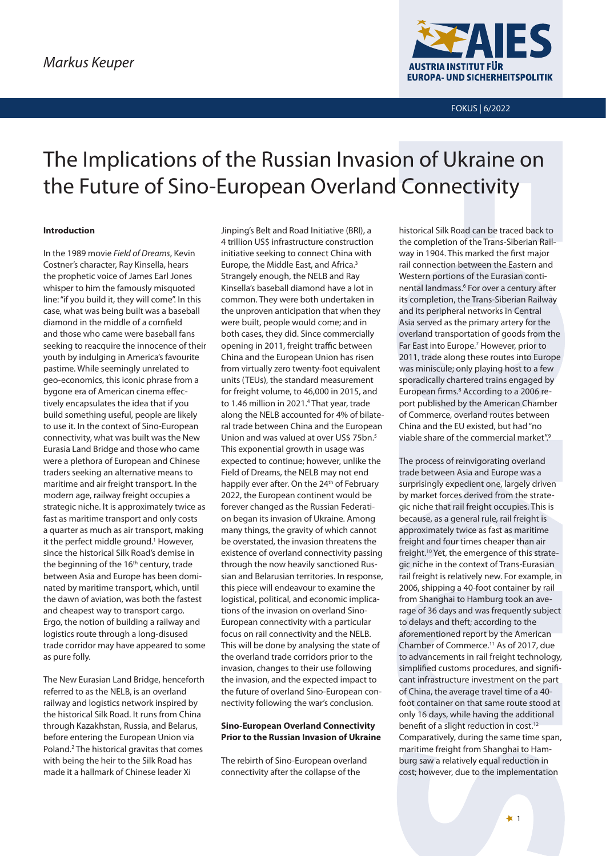

FOKUS | 6/2022

# The Implications of the Russian Invasion of Ukraine on the Future of Sino-European Overland Connectivity

# **Introduction**

In the 1989 movie *Field of Dreams*, Kevin Costner's character, Ray Kinsella, hears the prophetic voice of James Earl Jones whisper to him the famously misquoted line: "if you build it, they will come". In this case, what was being built was a baseball diamond in the middle of a cornfield and those who came were baseball fans seeking to reacquire the innocence of their youth by indulging in America's favourite pastime. While seemingly unrelated to geo-economics, this iconic phrase from a bygone era of American cinema effectively encapsulates the idea that if you build something useful, people are likely to use it. In the context of Sino-European connectivity, what was built was the New Eurasia Land Bridge and those who came were a plethora of European and Chinese traders seeking an alternative means to maritime and air freight transport. In the modern age, railway freight occupies a strategic niche. It is approximately twice as fast as maritime transport and only costs a quarter as much as air transport, making it the perfect middle ground.<sup>1</sup> However, since the historical Silk Road's demise in the beginning of the 16<sup>th</sup> century, trade between Asia and Europe has been dominated by maritime transport, which, until the dawn of aviation, was both the fastest and cheapest way to transport cargo. Ergo, the notion of building a railway and logistics route through a long-disused trade corridor may have appeared to some as pure folly.

The New Eurasian Land Bridge, henceforth referred to as the NELB, is an overland railway and logistics network inspired by the historical Silk Road. It runs from China through Kazakhstan, Russia, and Belarus, before entering the European Union via Poland.<sup>2</sup> The historical gravitas that comes with being the heir to the Silk Road has made it a hallmark of Chinese leader Xi

Jinping's Belt and Road Initiative (BRI), a 4 trillion US\$ infrastructure construction initiative seeking to connect China with Europe, the Middle East, and Africa.<sup>3</sup> Strangely enough, the NELB and Ray Kinsella's baseball diamond have a lot in common. They were both undertaken in the unproven anticipation that when they were built, people would come; and in both cases, they did. Since commercially opening in 2011, freight traffic between China and the European Union has risen from virtually zero twenty-foot equivalent units (TEUs), the standard measurement for freight volume, to 46,000 in 2015, and to 1.46 million in 2021.<sup>4</sup> That year, trade along the NELB accounted for 4% of bilateral trade between China and the European Union and was valued at over US\$ 75bn.<sup>5</sup> This exponential growth in usage was expected to continue; however, unlike the Field of Dreams, the NELB may not end happily ever after. On the 24<sup>th</sup> of February 2022, the European continent would be forever changed as the Russian Federation began its invasion of Ukraine. Among many things, the gravity of which cannot be overstated, the invasion threatens the existence of overland connectivity passing through the now heavily sanctioned Russian and Belarusian territories. In response, this piece will endeavour to examine the logistical, political, and economic implications of the invasion on overland Sino-European connectivity with a particular focus on rail connectivity and the NELB. This will be done by analysing the state of the overland trade corridors prior to the invasion, changes to their use following the invasion, and the expected impact to the future of overland Sino-European connectivity following the war's conclusion.

# **Sino-European Overland Connectivity Prior to the Russian Invasion of Ukraine**

The rebirth of Sino-European overland connectivity after the collapse of the

historical Silk Road can be traced back to the completion of the Trans-Siberian Railway in 1904. This marked the first major rail connection between the Eastern and Western portions of the Eurasian continental landmass.<sup>6</sup> For over a century after its completion, the Trans-Siberian Railway and its peripheral networks in Central Asia served as the primary artery for the overland transportation of goods from the Far East into Europe.<sup>7</sup> However, prior to 2011, trade along these routes into Europe was miniscule; only playing host to a few sporadically chartered trains engaged by European firms.<sup>8</sup> According to a 2006 report published by the American Chamber of Commerce, overland routes between China and the EU existed, but had "no viable share of the commercial market".<sup>9</sup>

The process of reinvigorating overland trade between Asia and Europe was a surprisingly expedient one, largely driven by market forces derived from the strategic niche that rail freight occupies. This is because, as a general rule, rail freight is approximately twice as fast as maritime freight and four times cheaper than air freight.<sup>10</sup> Yet, the emergence of this strategic niche in the context of Trans-Eurasian rail freight is relatively new. For example, in 2006, shipping a 40-foot container by rail from Shanghai to Hamburg took an average of 36 days and was frequently subject to delays and theft; according to the aforementioned report by the American Chamber of Commerce.11 As of 2017, due to advancements in rail freight technology, simplified customs procedures, and significant infrastructure investment on the part of China, the average travel time of a 40 foot container on that same route stood at only 16 days, while having the additional benefit of a slight reduction in cost.<sup>12</sup> Comparatively, during the same time span, maritime freight from Shanghai to Hamburg saw a relatively equal reduction in cost; however, due to the implementation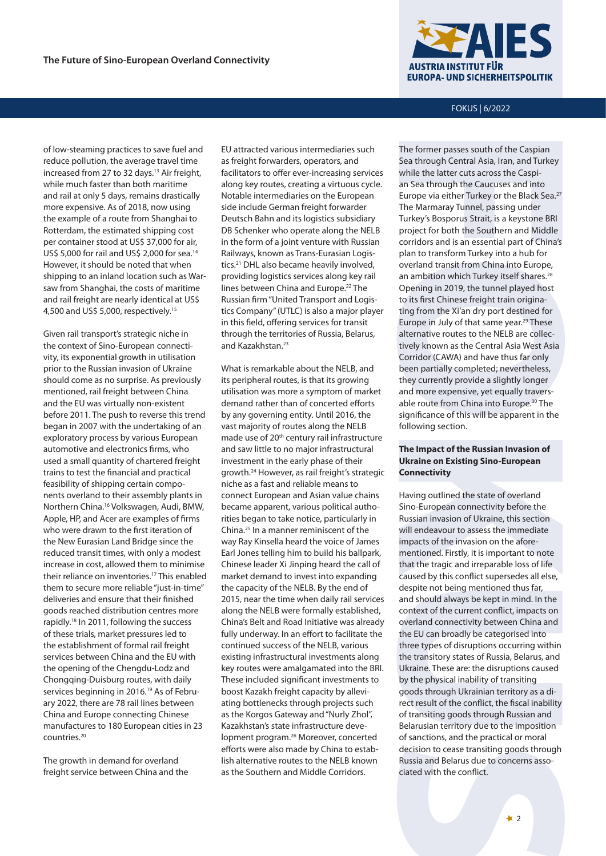of low-steaming practices to save fuel and reduce pollution, the average travel time increased from 27 to 32 days.<sup>13</sup> Air freight, while much faster than both maritime and rail at only 5 days, remains drastically more expensive. As of 2018, now using the example of a route from Shanghai to Rotterdam, the estimated shipping cost per container stood at US\$ 37,000 for air, US\$ 5,000 for rail and US\$ 2,000 for sea.14 However, it should be noted that when shipping to an inland location such as Warsaw from Shanghai, the costs of maritime and rail freight are nearly identical at US\$ 4,500 and US\$ 5,000, respectively.15

Given rail transport's strategic niche in the context of Sino-European connectivity, its exponential growth in utilisation prior to the Russian invasion of Ukraine should come as no surprise. As previously mentioned, rail freight between China and the EU was virtually non-existent before 2011. The push to reverse this trend began in 2007 with the undertaking of an exploratory process by various European automotive and electronics firms, who used a small quantity of chartered freight trains to test the financial and practical feasibility of shipping certain components overland to their assembly plants in Northern China.16 Volkswagen, Audi, BMW, Apple, HP, and Acer are examples of firms who were drawn to the first iteration of the New Eurasian Land Bridge since the reduced transit times, with only a modest increase in cost, allowed them to minimise their reliance on inventories.17 This enabled them to secure more reliable "just-in-time" deliveries and ensure that their finished goods reached distribution centres more rapidly.18 In 2011, following the success of these trials, market pressures led to the establishment of formal rail freight services between China and the EU with the opening of the Chengdu-Lodz and Chongqing-Duisburg routes, with daily services beginning in 2016.<sup>19</sup> As of February 2022, there are 78 rail lines between China and Europe connecting Chinese manufactures to 180 European cities in 23 countries.20

The growth in demand for overland freight service between China and the

EU attracted various intermediaries such as freight forwarders, operators, and facilitators to offer ever-increasing services along key routes, creating a virtuous cycle. Notable intermediaries on the European side include German freight forwarder Deutsch Bahn and its logistics subsidiary DB Schenker who operate along the NELB in the form of a joint venture with Russian Railways, known as Trans-Eurasian Logistics.21 DHL also became heavily involved, providing logistics services along key rail lines between China and Europe.<sup>22</sup> The Russian firm "United Transport and Logistics Company" (UTLC) is also a major player in this field, offering services for transit through the territories of Russia, Belarus, and Kazakhstan.<sup>23</sup>

What is remarkable about the NELB, and its peripheral routes, is that its growing utilisation was more a symptom of market demand rather than of concerted efforts by any governing entity. Until 2016, the vast majority of routes along the NELB made use of 20<sup>th</sup> century rail infrastructure and saw little to no major infrastructural investment in the early phase of their growth.24 However, as rail freight's strategic niche as a fast and reliable means to connect European and Asian value chains became apparent, various political authorities began to take notice, particularly in China.25 In a manner reminiscent of the way Ray Kinsella heard the voice of James Earl Jones telling him to build his ballpark, Chinese leader Xi Jinping heard the call of market demand to invest into expanding the capacity of the NELB. By the end of 2015, near the time when daily rail services along the NELB were formally established, China's Belt and Road Initiative was already fully underway. In an effort to facilitate the continued success of the NELB, various existing infrastructural investments along key routes were amalgamated into the BRI. These included significant investments to boost Kazakh freight capacity by alleviating bottlenecks through projects such as the Korgos Gateway and "Nurly Zhol", Kazakhstan's state infrastructure development program.26 Moreover, concerted efforts were also made by China to establish alternative routes to the NELB known as the Southern and Middle Corridors.



FOKUS | 6/2022

The former passes south of the Caspian Sea through Central Asia, Iran, and Turkey while the latter cuts across the Caspian Sea through the Caucuses and into Europe via either Turkey or the Black Sea.<sup>27</sup> The Marmaray Tunnel, passing under Turkey's Bosporus Strait, is a keystone BRI project for both the Southern and Middle corridors and is an essential part of China's plan to transform Turkey into a hub for overland transit from China into Europe, an ambition which Turkey itself shares.<sup>28</sup> Opening in 2019, the tunnel played host to its first Chinese freight train originating from the Xi'an dry port destined for Europe in July of that same year.29 These alternative routes to the NELB are collectively known as the Central Asia West Asia Corridor (CAWA) and have thus far only been partially completed; nevertheless, they currently provide a slightly longer and more expensive, yet equally traversable route from China into Europe.30 The significance of this will be apparent in the following section.

# **The Impact of the Russian Invasion of Ukraine on Existing Sino-European Connectivity**

Having outlined the state of overland Sino-European connectivity before the Russian invasion of Ukraine, this section will endeavour to assess the immediate impacts of the invasion on the aforementioned. Firstly, it is important to note that the tragic and irreparable loss of life caused by this conflict supersedes all else, despite not being mentioned thus far, and should always be kept in mind. In the context of the current conflict, impacts on overland connectivity between China and the EU can broadly be categorised into three types of disruptions occurring within the transitory states of Russia, Belarus, and Ukraine. These are: the disruptions caused by the physical inability of transiting goods through Ukrainian territory as a direct result of the conflict, the fiscal inability of transiting goods through Russian and Belarusian territory due to the imposition of sanctions, and the practical or moral decision to cease transiting goods through Russia and Belarus due to concerns associated with the conflict.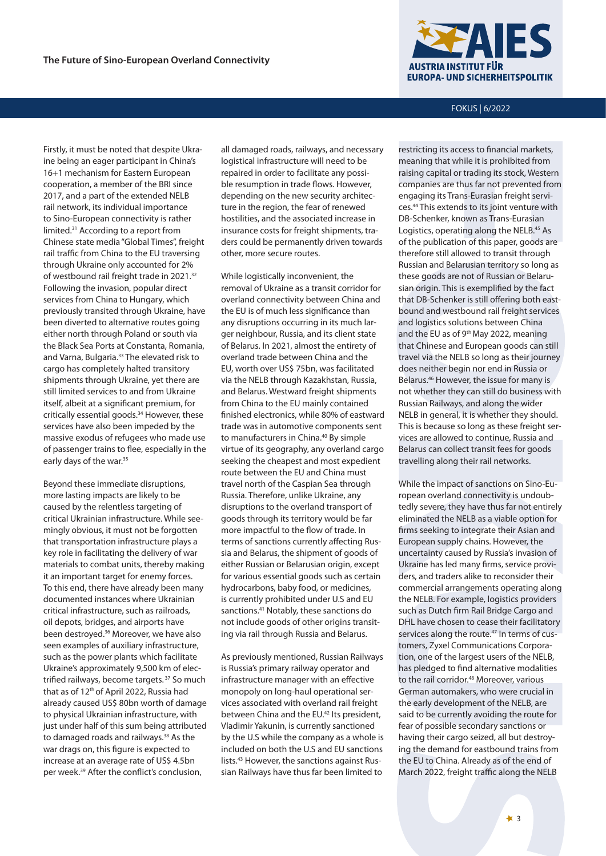Firstly, it must be noted that despite Ukraine being an eager participant in China's 16+1 mechanism for Eastern European cooperation, a member of the BRI since 2017, and a part of the extended NELB rail network, its individual importance to Sino-European connectivity is rather limited.31 According to a report from Chinese state media "Global Times", freight rail traffic from China to the EU traversing through Ukraine only accounted for 2% of westbound rail freight trade in 2021.<sup>32</sup> Following the invasion, popular direct services from China to Hungary, which previously transited through Ukraine, have been diverted to alternative routes going either north through Poland or south via the Black Sea Ports at Constanta, Romania, and Varna, Bulgaria.<sup>33</sup> The elevated risk to cargo has completely halted transitory shipments through Ukraine, yet there are still limited services to and from Ukraine itself, albeit at a significant premium, for critically essential goods.<sup>34</sup> However, these services have also been impeded by the massive exodus of refugees who made use of passenger trains to flee, especially in the early days of the war.<sup>35</sup>

Beyond these immediate disruptions, more lasting impacts are likely to be caused by the relentless targeting of critical Ukrainian infrastructure. While seemingly obvious, it must not be forgotten that transportation infrastructure plays a key role in facilitating the delivery of war materials to combat units, thereby making it an important target for enemy forces. To this end, there have already been many documented instances where Ukrainian critical infrastructure, such as railroads, oil depots, bridges, and airports have been destroyed.36 Moreover, we have also seen examples of auxiliary infrastructure, such as the power plants which facilitate Ukraine's approximately 9,500 km of electrified railways, become targets. 37 So much that as of 12<sup>th</sup> of April 2022, Russia had already caused US\$ 80bn worth of damage to physical Ukrainian infrastructure, with just under half of this sum being attributed to damaged roads and railways.<sup>38</sup> As the war drags on, this figure is expected to increase at an average rate of US\$ 4.5bn per week.39 After the conflict's conclusion,

all damaged roads, railways, and necessary logistical infrastructure will need to be repaired in order to facilitate any possible resumption in trade flows. However, depending on the new security architecture in the region, the fear of renewed hostilities, and the associated increase in insurance costs for freight shipments, traders could be permanently driven towards other, more secure routes.

While logistically inconvenient, the removal of Ukraine as a transit corridor for overland connectivity between China and the EU is of much less significance than any disruptions occurring in its much larger neighbour, Russia, and its client state of Belarus. In 2021, almost the entirety of overland trade between China and the EU, worth over US\$ 75bn, was facilitated via the NELB through Kazakhstan, Russia, and Belarus. Westward freight shipments from China to the EU mainly contained finished electronics, while 80% of eastward trade was in automotive components sent to manufacturers in China.<sup>40</sup> By simple virtue of its geography, any overland cargo seeking the cheapest and most expedient route between the EU and China must travel north of the Caspian Sea through Russia. Therefore, unlike Ukraine, any disruptions to the overland transport of goods through its territory would be far more impactful to the flow of trade. In terms of sanctions currently affecting Russia and Belarus, the shipment of goods of either Russian or Belarusian origin, except for various essential goods such as certain hydrocarbons, baby food, or medicines, is currently prohibited under U.S and EU sanctions.41 Notably, these sanctions do not include goods of other origins transiting via rail through Russia and Belarus.

As previously mentioned, Russian Railways is Russia's primary railway operator and infrastructure manager with an effective monopoly on long-haul operational services associated with overland rail freight between China and the EU.<sup>42</sup> Its president, Vladimir Yakunin, is currently sanctioned by the U.S while the company as a whole is included on both the U.S and EU sanctions lists.43 However, the sanctions against Russian Railways have thus far been limited to



FOKUS | 6/2022

restricting its access to financial markets, meaning that while it is prohibited from raising capital or trading its stock, Western companies are thus far not prevented from engaging its Trans-Eurasian freight services.44 This extends to its joint venture with DB-Schenker, known as Trans-Eurasian Logistics, operating along the NELB.<sup>45</sup> As of the publication of this paper, goods are therefore still allowed to transit through Russian and Belarusian territory so long as these goods are not of Russian or Belarusian origin. This is exemplified by the fact that DB-Schenker is still offering both eastbound and westbound rail freight services and logistics solutions between China and the EU as of 9th May 2022, meaning that Chinese and European goods can still travel via the NELB so long as their journey does neither begin nor end in Russia or Belarus.46 However, the issue for many is not whether they can still do business with Russian Railways, and along the wider NELB in general, it is whether they should. This is because so long as these freight services are allowed to continue, Russia and Belarus can collect transit fees for goods travelling along their rail networks.

While the impact of sanctions on Sino-European overland connectivity is undoubtedly severe, they have thus far not entirely eliminated the NELB as a viable option for firms seeking to integrate their Asian and European supply chains. However, the uncertainty caused by Russia's invasion of Ukraine has led many firms, service providers, and traders alike to reconsider their commercial arrangements operating along the NELB. For example, logistics providers such as Dutch firm Rail Bridge Cargo and DHL have chosen to cease their facilitatory services along the route.<sup>47</sup> In terms of customers, Zyxel Communications Corporation, one of the largest users of the NELB, has pledged to find alternative modalities to the rail corridor.<sup>48</sup> Moreover, various German automakers, who were crucial in the early development of the NELB, are said to be currently avoiding the route for fear of possible secondary sanctions or having their cargo seized, all but destroying the demand for eastbound trains from the EU to China. Already as of the end of March 2022, freight traffic along the NELB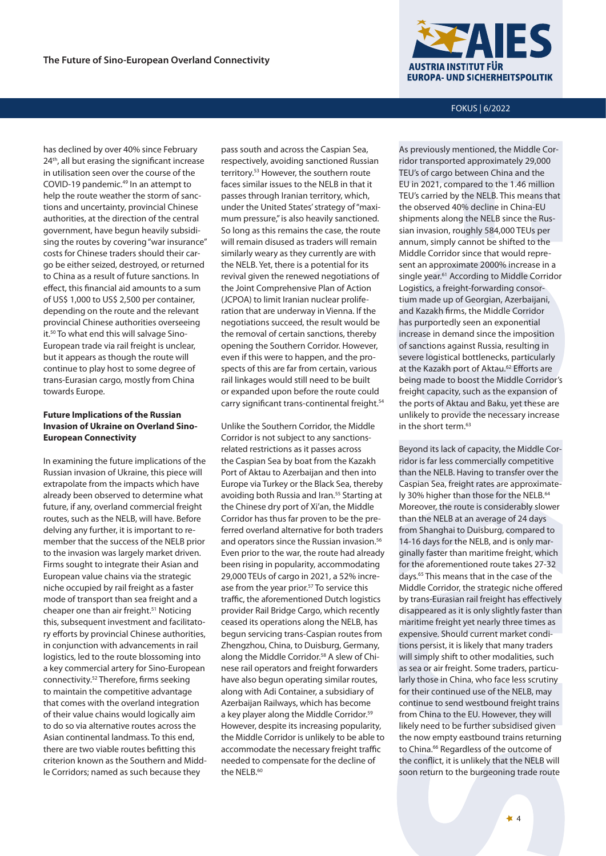has declined by over 40% since February 24<sup>th</sup>, all but erasing the significant increase in utilisation seen over the course of the COVID-19 pandemic.49 In an attempt to help the route weather the storm of sanctions and uncertainty, provincial Chinese authorities, at the direction of the central government, have begun heavily subsidising the routes by covering "war insurance" costs for Chinese traders should their cargo be either seized, destroyed, or returned to China as a result of future sanctions. In effect, this financial aid amounts to a sum of US\$ 1,000 to US\$ 2,500 per container, depending on the route and the relevant provincial Chinese authorities overseeing it.50 To what end this will salvage Sino-European trade via rail freight is unclear, but it appears as though the route will continue to play host to some degree of trans-Eurasian cargo, mostly from China towards Europe.

# **Future Implications of the Russian Invasion of Ukraine on Overland Sino-European Connectivity**

In examining the future implications of the Russian invasion of Ukraine, this piece will extrapolate from the impacts which have already been observed to determine what future, if any, overland commercial freight routes, such as the NELB, will have. Before delving any further, it is important to remember that the success of the NELB prior to the invasion was largely market driven. Firms sought to integrate their Asian and European value chains via the strategic niche occupied by rail freight as a faster mode of transport than sea freight and a cheaper one than air freight.51 Noticing this, subsequent investment and facilitatory efforts by provincial Chinese authorities, in conjunction with advancements in rail logistics, led to the route blossoming into a key commercial artery for Sino-European connectivity.52 Therefore, firms seeking to maintain the competitive advantage that comes with the overland integration of their value chains would logically aim to do so via alternative routes across the Asian continental landmass. To this end, there are two viable routes befitting this criterion known as the Southern and Middle Corridors; named as such because they

pass south and across the Caspian Sea, respectively, avoiding sanctioned Russian territory.53 However, the southern route faces similar issues to the NELB in that it passes through Iranian territory, which, under the United States' strategy of "maximum pressure," is also heavily sanctioned. So long as this remains the case, the route will remain disused as traders will remain similarly weary as they currently are with the NELB. Yet, there is a potential for its revival given the renewed negotiations of the Joint Comprehensive Plan of Action (JCPOA) to limit Iranian nuclear proliferation that are underway in Vienna. If the negotiations succeed, the result would be the removal of certain sanctions, thereby opening the Southern Corridor. However, even if this were to happen, and the prospects of this are far from certain, various rail linkages would still need to be built or expanded upon before the route could carry significant trans-continental freight.<sup>54</sup>

Unlike the Southern Corridor, the Middle Corridor is not subject to any sanctionsrelated restrictions as it passes across the Caspian Sea by boat from the Kazakh Port of Aktau to Azerbaijan and then into Europe via Turkey or the Black Sea, thereby avoiding both Russia and Iran.<sup>55</sup> Starting at the Chinese dry port of Xi'an, the Middle Corridor has thus far proven to be the preferred overland alternative for both traders and operators since the Russian invasion.<sup>56</sup> Even prior to the war, the route had already been rising in popularity, accommodating 29,000 TEUs of cargo in 2021, a 52% increase from the year prior.<sup>57</sup> To service this traffic, the aforementioned Dutch logistics provider Rail Bridge Cargo, which recently ceased its operations along the NELB, has begun servicing trans-Caspian routes from Zhengzhou, China, to Duisburg, Germany, along the Middle Corridor.<sup>58</sup> A slew of Chinese rail operators and freight forwarders have also begun operating similar routes, along with Adi Container, a subsidiary of Azerbaijan Railways, which has become a key player along the Middle Corridor.<sup>59</sup> However, despite its increasing popularity, the Middle Corridor is unlikely to be able to accommodate the necessary freight traffic needed to compensate for the decline of the NELB.<sup>60</sup>



FOKUS | 6/2022

As previously mentioned, the Middle Corridor transported approximately 29,000 TEU's of cargo between China and the EU in 2021, compared to the 1.46 million TEU's carried by the NELB. This means that the observed 40% decline in China-EU shipments along the NELB since the Russian invasion, roughly 584,000 TEUs per annum, simply cannot be shifted to the Middle Corridor since that would represent an approximate 2000% increase in a single year.<sup>61</sup> According to Middle Corridor Logistics, a freight-forwarding consortium made up of Georgian, Azerbaijani, and Kazakh firms, the Middle Corridor has purportedly seen an exponential increase in demand since the imposition of sanctions against Russia, resulting in severe logistical bottlenecks, particularly at the Kazakh port of Aktau.<sup>62</sup> Efforts are being made to boost the Middle Corridor's freight capacity, such as the expansion of the ports of Aktau and Baku, yet these are unlikely to provide the necessary increase in the short term.<sup>63</sup>

Beyond its lack of capacity, the Middle Corridor is far less commercially competitive than the NELB. Having to transfer over the Caspian Sea, freight rates are approximately 30% higher than those for the NELB.<sup>64</sup> Moreover, the route is considerably slower than the NELB at an average of 24 days from Shanghai to Duisburg, compared to 14-16 days for the NELB, and is only marginally faster than maritime freight, which for the aforementioned route takes 27-32 days.65 This means that in the case of the Middle Corridor, the strategic niche offered by trans-Eurasian rail freight has effectively disappeared as it is only slightly faster than maritime freight yet nearly three times as expensive. Should current market conditions persist, it is likely that many traders will simply shift to other modalities, such as sea or air freight. Some traders, particularly those in China, who face less scrutiny for their continued use of the NELB, may continue to send westbound freight trains from China to the EU. However, they will likely need to be further subsidised given the now empty eastbound trains returning to China.<sup>66</sup> Regardless of the outcome of the conflict, it is unlikely that the NELB will soon return to the burgeoning trade route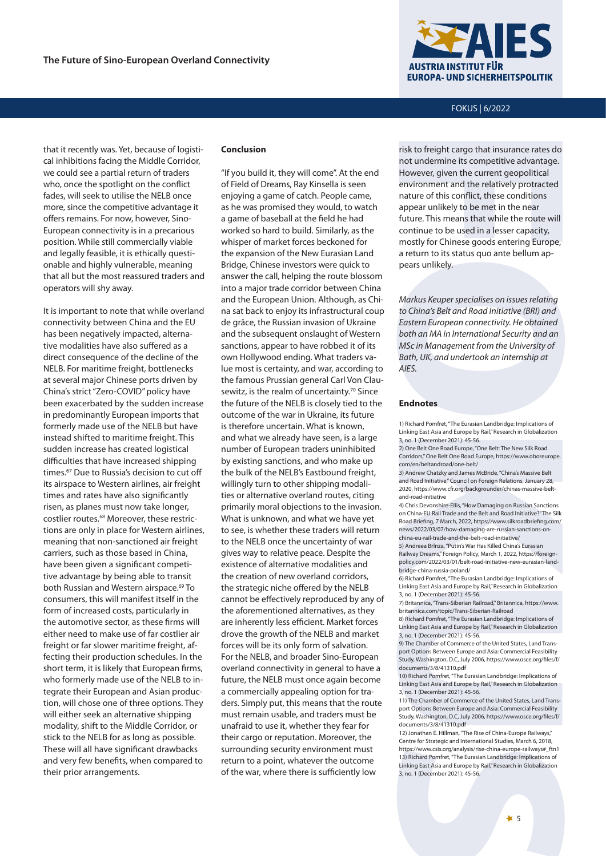

## FOKUS | 6/2022

that it recently was. Yet, because of logistical inhibitions facing the Middle Corridor, we could see a partial return of traders who, once the spotlight on the conflict fades, will seek to utilise the NELB once more, since the competitive advantage it offers remains. For now, however, Sino-European connectivity is in a precarious position. While still commercially viable and legally feasible, it is ethically questionable and highly vulnerable, meaning that all but the most reassured traders and operators will shy away.

It is important to note that while overland connectivity between China and the EU has been negatively impacted, alternative modalities have also suffered as a direct consequence of the decline of the NELB. For maritime freight, bottlenecks at several major Chinese ports driven by China's strict "Zero-COVID" policy have been exacerbated by the sudden increase in predominantly European imports that formerly made use of the NELB but have instead shifted to maritime freight. This sudden increase has created logistical difficulties that have increased shipping times.67 Due to Russia's decision to cut off its airspace to Western airlines, air freight times and rates have also significantly risen, as planes must now take longer, costlier routes.68 Moreover, these restrictions are only in place for Western airlines, meaning that non-sanctioned air freight carriers, such as those based in China, have been given a significant competitive advantage by being able to transit both Russian and Western airspace.<sup>69</sup> To consumers, this will manifest itself in the form of increased costs, particularly in the automotive sector, as these firms will either need to make use of far costlier air freight or far slower maritime freight, affecting their production schedules. In the short term, it is likely that European firms, who formerly made use of the NELB to integrate their European and Asian production, will chose one of three options. They will either seek an alternative shipping modality, shift to the Middle Corridor, or stick to the NELB for as long as possible. These will all have significant drawbacks and very few benefits, when compared to their prior arrangements.

# **Conclusion**

"If you build it, they will come". At the end of Field of Dreams, Ray Kinsella is seen enjoying a game of catch. People came, as he was promised they would, to watch a game of baseball at the field he had worked so hard to build. Similarly, as the whisper of market forces beckoned for the expansion of the New Eurasian Land Bridge, Chinese investors were quick to answer the call, helping the route blossom into a major trade corridor between China and the European Union. Although, as China sat back to enjoy its infrastructural coup de grâce, the Russian invasion of Ukraine and the subsequent onslaught of Western sanctions, appear to have robbed it of its own Hollywood ending. What traders value most is certainty, and war, according to the famous Prussian general Carl Von Clausewitz, is the realm of uncertainty.<sup>70</sup> Since the future of the NELB is closely tied to the outcome of the war in Ukraine, its future is therefore uncertain. What is known, and what we already have seen, is a large number of European traders uninhibited by existing sanctions, and who make up the bulk of the NELB's Eastbound freight, willingly turn to other shipping modalities or alternative overland routes, citing primarily moral objections to the invasion. What is unknown, and what we have yet to see, is whether these traders will return to the NELB once the uncertainty of war gives way to relative peace. Despite the existence of alternative modalities and the creation of new overland corridors, the strategic niche offered by the NELB cannot be effectively reproduced by any of the aforementioned alternatives, as they are inherently less efficient. Market forces drove the growth of the NELB and market forces will be its only form of salvation. For the NELB, and broader Sino-European overland connectivity in general to have a future, the NELB must once again become a commercially appealing option for traders. Simply put, this means that the route must remain usable, and traders must be unafraid to use it, whether they fear for their cargo or reputation. Moreover, the surrounding security environment must return to a point, whatever the outcome of the war, where there is sufficiently low

risk to freight cargo that insurance rates do not undermine its competitive advantage. However, given the current geopolitical environment and the relatively protracted nature of this conflict, these conditions appear unlikely to be met in the near future. This means that while the route will continue to be used in a lesser capacity, mostly for Chinese goods entering Europe, a return to its status quo ante bellum appears unlikely.

*Markus Keuper specialises on issues relating to China's Belt and Road Initiative (BRI) and Eastern European connectivity. He obtained both an MA in International Security and an MSc in Management from the University of Bath, UK, and undertook an internship at AIES.*

#### **Endnotes**

1) Richard Pomfret, "The Eurasian Landbridge: Implications of Linking East Asia and Europe by Rail," Research in Globalization 3, no. 1 (December 2021): 45-56.

2) One Belt One Road Europe, "One Belt: The New Silk Road Corridors," One Belt One Road Europe, https://www.oboreurope. com/en/beltandroad/one-belt/

3) Andrew Chatzky and James McBride, "China's Massive Belt and Road Initiative," Council on Foreign Relations, January 28, 2020, https://www.cfr.org/backgrounder/chinas-massive-beltand-road-initiative

4) Chris Devonshire-Ellis, "How Damaging on Russian Sanctions on China-EU Rail Trade and the Belt and Road Initiative?" The Silk Road Briefing, 7 March, 2022, https://www.silkroadbriefing.com/ news/2022/03/07/how-damaging-are-russian-sanctions-onchina-eu-rail-trade-and-the-belt-road-initiative/

5) Andreea Brlnza, "Putin's War Has Killed China's Eurasian Railway Dreams," Foreign Policy, March 1, 2022, https://foreignpolicy.com/2022/03/01/belt-road-initiative-new-eurasian-landbridge-china-russia-poland/

6) Richard Pomfret, "The Eurasian Landbridge: Implications of Linking East Asia and Europe by Rail," Research in Globalization 3, no. 1 (December 2021): 45-56.

7) Britannica, "Trans-Siberian Railroad," Britannica, https://www. britannica.com/topic/Trans-Siberian-Railroad

8) Richard Pomfret, "The Eurasian Landbridge: Implications of Linking East Asia and Europe by Rail," Research in Globalization 3, no. 1 (December 2021): 45-56.

9) The Chamber of Commerce of the United States, Land Transport Options Between Europe and Asia: Commercial Feasibility Study, Washington, D.C, July 2006, https://www.osce.org/files/f/ documents/3/8/41310.pdf

10) Richard Pomfret, "The Eurasian Landbridge: Implications of Linking East Asia and Europe by Rail," Research in Globalization 3, no. 1 (December 2021): 45-56.

11) The Chamber of Commerce of the United States, Land Transport Options Between Europe and Asia: Commercial Feasibility Study, Washington, D.C, July 2006, https://www.osce.org/files/f/ documents/3/8/41310.pdf

12) Jonathan E. Hillman, "The Rise of China-Europe Railways," Centre for Strategic and International Studies, March 6, 2018, https://www.csis.org/analysis/rise-china-europe-railways#\_ftn1 13) Richard Pomfret, "The Eurasian Landbridge: Implications of Linking East Asia and Europe by Rail," Research in Globalization 3, no. 1 (December 2021): 45-56.